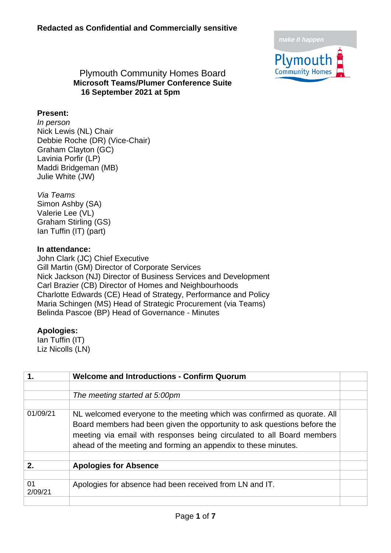

#### Plymouth Community Homes Board **Microsoft Teams/Plumer Conference Suite 16 September 2021 at 5pm**

#### **Present:**

*In person* Nick Lewis (NL) Chair Debbie Roche (DR) (Vice-Chair) Graham Clayton (GC) Lavinia Porfir (LP) Maddi Bridgeman (MB) Julie White (JW)

*Via Teams* Simon Ashby (SA) Valerie Lee (VL) Graham Stirling (GS) Ian Tuffin (IT) (part)

#### **In attendance:**

John Clark (JC) Chief Executive Gill Martin (GM) Director of Corporate Services Nick Jackson (NJ) Director of Business Services and Development Carl Brazier (CB) Director of Homes and Neighbourhoods Charlotte Edwards (CE) Head of Strategy, Performance and Policy Maria Schingen (MS) Head of Strategic Procurement (via Teams) Belinda Pascoe (BP) Head of Governance - Minutes

#### **Apologies:**

Ian Tuffin (IT) Liz Nicolls (LN)

| 1.            | <b>Welcome and Introductions - Confirm Quorum</b>                                                                                                                                                                                                                                               |  |
|---------------|-------------------------------------------------------------------------------------------------------------------------------------------------------------------------------------------------------------------------------------------------------------------------------------------------|--|
|               |                                                                                                                                                                                                                                                                                                 |  |
|               | The meeting started at 5:00pm                                                                                                                                                                                                                                                                   |  |
| 01/09/21      | NL welcomed everyone to the meeting which was confirmed as quorate. All<br>Board members had been given the opportunity to ask questions before the<br>meeting via email with responses being circulated to all Board members<br>ahead of the meeting and forming an appendix to these minutes. |  |
| 2.            | <b>Apologies for Absence</b>                                                                                                                                                                                                                                                                    |  |
| 01<br>2/09/21 | Apologies for absence had been received from LN and IT.                                                                                                                                                                                                                                         |  |
|               |                                                                                                                                                                                                                                                                                                 |  |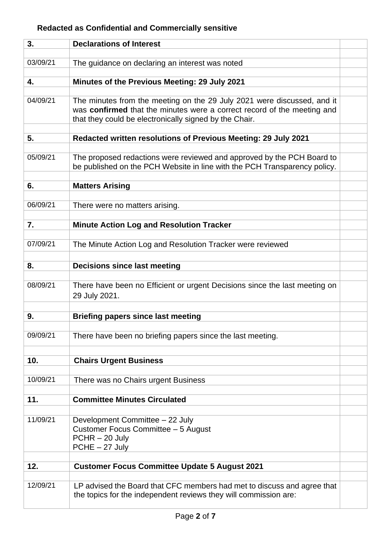| 3.       | <b>Declarations of Interest</b>                                                                                                                                                                              |  |
|----------|--------------------------------------------------------------------------------------------------------------------------------------------------------------------------------------------------------------|--|
|          |                                                                                                                                                                                                              |  |
| 03/09/21 | The guidance on declaring an interest was noted                                                                                                                                                              |  |
| 4.       | Minutes of the Previous Meeting: 29 July 2021                                                                                                                                                                |  |
|          |                                                                                                                                                                                                              |  |
| 04/09/21 | The minutes from the meeting on the 29 July 2021 were discussed, and it<br>was confirmed that the minutes were a correct record of the meeting and<br>that they could be electronically signed by the Chair. |  |
|          |                                                                                                                                                                                                              |  |
| 5.       | Redacted written resolutions of Previous Meeting: 29 July 2021                                                                                                                                               |  |
| 05/09/21 | The proposed redactions were reviewed and approved by the PCH Board to<br>be published on the PCH Website in line with the PCH Transparency policy.                                                          |  |
| 6.       | <b>Matters Arising</b>                                                                                                                                                                                       |  |
|          |                                                                                                                                                                                                              |  |
| 06/09/21 | There were no matters arising.                                                                                                                                                                               |  |
|          |                                                                                                                                                                                                              |  |
| 7.       | <b>Minute Action Log and Resolution Tracker</b>                                                                                                                                                              |  |
|          |                                                                                                                                                                                                              |  |
| 07/09/21 | The Minute Action Log and Resolution Tracker were reviewed                                                                                                                                                   |  |
| 8.       | <b>Decisions since last meeting</b>                                                                                                                                                                          |  |
|          |                                                                                                                                                                                                              |  |
| 08/09/21 | There have been no Efficient or urgent Decisions since the last meeting on<br>29 July 2021.                                                                                                                  |  |
| 9.       | <b>Briefing papers since last meeting</b>                                                                                                                                                                    |  |
|          |                                                                                                                                                                                                              |  |
| 09/09/21 | There have been no briefing papers since the last meeting.                                                                                                                                                   |  |
|          |                                                                                                                                                                                                              |  |
| 10.      | <b>Chairs Urgent Business</b>                                                                                                                                                                                |  |
| 10/09/21 | There was no Chairs urgent Business                                                                                                                                                                          |  |
|          |                                                                                                                                                                                                              |  |
| 11.      | <b>Committee Minutes Circulated</b>                                                                                                                                                                          |  |
|          |                                                                                                                                                                                                              |  |
| 11/09/21 | Development Committee - 22 July<br>Customer Focus Committee - 5 August<br>$PCHR - 20$ July<br>PCHE - 27 July                                                                                                 |  |
| 12.      | <b>Customer Focus Committee Update 5 August 2021</b>                                                                                                                                                         |  |
|          |                                                                                                                                                                                                              |  |
| 12/09/21 | LP advised the Board that CFC members had met to discuss and agree that<br>the topics for the independent reviews they will commission are:                                                                  |  |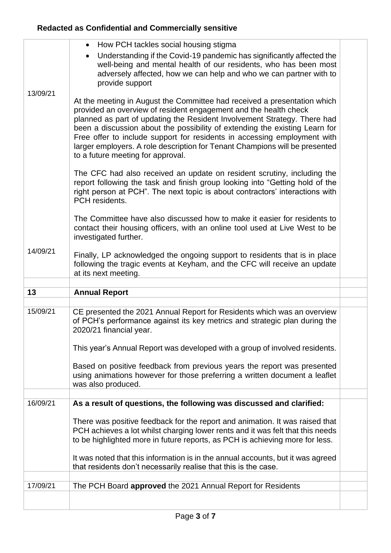|          | How PCH tackles social housing stigma<br>$\bullet$                                                                                                                                                                                                                                                                                                                                                                                                                                                      |  |
|----------|---------------------------------------------------------------------------------------------------------------------------------------------------------------------------------------------------------------------------------------------------------------------------------------------------------------------------------------------------------------------------------------------------------------------------------------------------------------------------------------------------------|--|
|          | Understanding if the Covid-19 pandemic has significantly affected the<br>$\bullet$<br>well-being and mental health of our residents, who has been most<br>adversely affected, how we can help and who we can partner with to<br>provide support                                                                                                                                                                                                                                                         |  |
| 13/09/21 |                                                                                                                                                                                                                                                                                                                                                                                                                                                                                                         |  |
|          | At the meeting in August the Committee had received a presentation which<br>provided an overview of resident engagement and the health check<br>planned as part of updating the Resident Involvement Strategy. There had<br>been a discussion about the possibility of extending the existing Learn for<br>Free offer to include support for residents in accessing employment with<br>larger employers. A role description for Tenant Champions will be presented<br>to a future meeting for approval. |  |
|          | The CFC had also received an update on resident scrutiny, including the<br>report following the task and finish group looking into "Getting hold of the<br>right person at PCH". The next topic is about contractors' interactions with<br>PCH residents.                                                                                                                                                                                                                                               |  |
|          | The Committee have also discussed how to make it easier for residents to<br>contact their housing officers, with an online tool used at Live West to be<br>investigated further.                                                                                                                                                                                                                                                                                                                        |  |
| 14/09/21 | Finally, LP acknowledged the ongoing support to residents that is in place<br>following the tragic events at Keyham, and the CFC will receive an update<br>at its next meeting.                                                                                                                                                                                                                                                                                                                         |  |
|          |                                                                                                                                                                                                                                                                                                                                                                                                                                                                                                         |  |
|          |                                                                                                                                                                                                                                                                                                                                                                                                                                                                                                         |  |
| 13       | <b>Annual Report</b>                                                                                                                                                                                                                                                                                                                                                                                                                                                                                    |  |
|          |                                                                                                                                                                                                                                                                                                                                                                                                                                                                                                         |  |
| 15/09/21 | CE presented the 2021 Annual Report for Residents which was an overview<br>of PCH's performance against its key metrics and strategic plan during the<br>2020/21 financial year.                                                                                                                                                                                                                                                                                                                        |  |
|          | This year's Annual Report was developed with a group of involved residents.                                                                                                                                                                                                                                                                                                                                                                                                                             |  |
|          | Based on positive feedback from previous years the report was presented<br>using animations however for those preferring a written document a leaflet<br>was also produced.                                                                                                                                                                                                                                                                                                                             |  |
|          |                                                                                                                                                                                                                                                                                                                                                                                                                                                                                                         |  |
| 16/09/21 | As a result of questions, the following was discussed and clarified:                                                                                                                                                                                                                                                                                                                                                                                                                                    |  |
|          | There was positive feedback for the report and animation. It was raised that<br>PCH achieves a lot whilst charging lower rents and it was felt that this needs<br>to be highlighted more in future reports, as PCH is achieving more for less.                                                                                                                                                                                                                                                          |  |
|          | It was noted that this information is in the annual accounts, but it was agreed<br>that residents don't necessarily realise that this is the case.                                                                                                                                                                                                                                                                                                                                                      |  |
|          |                                                                                                                                                                                                                                                                                                                                                                                                                                                                                                         |  |
| 17/09/21 | The PCH Board approved the 2021 Annual Report for Residents                                                                                                                                                                                                                                                                                                                                                                                                                                             |  |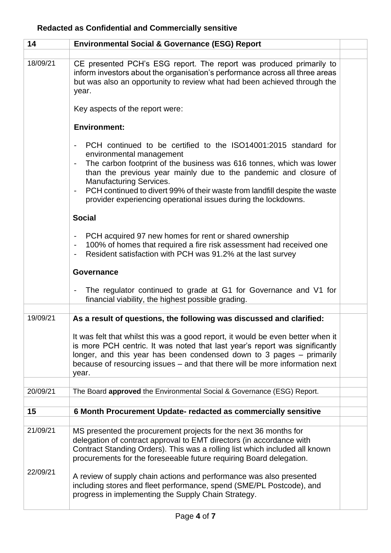| 14       | <b>Environmental Social &amp; Governance (ESG) Report</b>                                                                                                                                                                                                                                                                                                                                                                                                                         |  |
|----------|-----------------------------------------------------------------------------------------------------------------------------------------------------------------------------------------------------------------------------------------------------------------------------------------------------------------------------------------------------------------------------------------------------------------------------------------------------------------------------------|--|
| 18/09/21 | CE presented PCH's ESG report. The report was produced primarily to<br>inform investors about the organisation's performance across all three areas<br>but was also an opportunity to review what had been achieved through the<br>year.                                                                                                                                                                                                                                          |  |
|          | Key aspects of the report were:                                                                                                                                                                                                                                                                                                                                                                                                                                                   |  |
|          | <b>Environment:</b>                                                                                                                                                                                                                                                                                                                                                                                                                                                               |  |
|          | PCH continued to be certified to the ISO14001:2015 standard for<br>$\overline{\phantom{a}}$<br>environmental management<br>The carbon footprint of the business was 616 tonnes, which was lower<br>than the previous year mainly due to the pandemic and closure of<br><b>Manufacturing Services.</b><br>PCH continued to divert 99% of their waste from landfill despite the waste<br>$\overline{\phantom{a}}$<br>provider experiencing operational issues during the lockdowns. |  |
|          | <b>Social</b>                                                                                                                                                                                                                                                                                                                                                                                                                                                                     |  |
|          | PCH acquired 97 new homes for rent or shared ownership<br>$\overline{\phantom{a}}$<br>100% of homes that required a fire risk assessment had received one<br>$\overline{\phantom{a}}$<br>Resident satisfaction with PCH was 91.2% at the last survey                                                                                                                                                                                                                              |  |
|          | Governance                                                                                                                                                                                                                                                                                                                                                                                                                                                                        |  |
|          | The regulator continued to grade at G1 for Governance and V1 for<br>$\overline{\phantom{a}}$<br>financial viability, the highest possible grading.                                                                                                                                                                                                                                                                                                                                |  |
| 19/09/21 | As a result of questions, the following was discussed and clarified:                                                                                                                                                                                                                                                                                                                                                                                                              |  |
|          | It was felt that whilst this was a good report, it would be even better when it<br>is more PCH centric. It was noted that last year's report was significantly<br>longer, and this year has been condensed down to 3 pages – primarily<br>because of resourcing issues – and that there will be more information next<br>year.                                                                                                                                                    |  |
| 20/09/21 | The Board approved the Environmental Social & Governance (ESG) Report.                                                                                                                                                                                                                                                                                                                                                                                                            |  |
|          |                                                                                                                                                                                                                                                                                                                                                                                                                                                                                   |  |
| 15       | 6 Month Procurement Update- redacted as commercially sensitive                                                                                                                                                                                                                                                                                                                                                                                                                    |  |
| 21/09/21 | MS presented the procurement projects for the next 36 months for<br>delegation of contract approval to EMT directors (in accordance with<br>Contract Standing Orders). This was a rolling list which included all known<br>procurements for the foreseeable future requiring Board delegation.                                                                                                                                                                                    |  |
| 22/09/21 | A review of supply chain actions and performance was also presented<br>including stores and fleet performance, spend (SME/PL Postcode), and<br>progress in implementing the Supply Chain Strategy.                                                                                                                                                                                                                                                                                |  |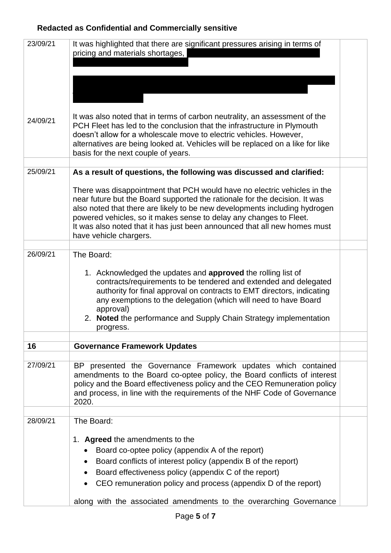| 23/09/21 | It was highlighted that there are significant pressures arising in terms of<br>pricing and materials shortages,                                                                                                                                                                                                                                                                                                   |  |
|----------|-------------------------------------------------------------------------------------------------------------------------------------------------------------------------------------------------------------------------------------------------------------------------------------------------------------------------------------------------------------------------------------------------------------------|--|
|          |                                                                                                                                                                                                                                                                                                                                                                                                                   |  |
|          |                                                                                                                                                                                                                                                                                                                                                                                                                   |  |
| 24/09/21 | It was also noted that in terms of carbon neutrality, an assessment of the<br>PCH Fleet has led to the conclusion that the infrastructure in Plymouth<br>doesn't allow for a wholescale move to electric vehicles. However,<br>alternatives are being looked at. Vehicles will be replaced on a like for like<br>basis for the next couple of years.                                                              |  |
| 25/09/21 | As a result of questions, the following was discussed and clarified:                                                                                                                                                                                                                                                                                                                                              |  |
|          |                                                                                                                                                                                                                                                                                                                                                                                                                   |  |
|          | There was disappointment that PCH would have no electric vehicles in the<br>near future but the Board supported the rationale for the decision. It was<br>also noted that there are likely to be new developments including hydrogen<br>powered vehicles, so it makes sense to delay any changes to Fleet.<br>It was also noted that it has just been announced that all new homes must<br>have vehicle chargers. |  |
| 26/09/21 | The Board:                                                                                                                                                                                                                                                                                                                                                                                                        |  |
|          | 1. Acknowledged the updates and <b>approved</b> the rolling list of<br>contracts/requirements to be tendered and extended and delegated<br>authority for final approval on contracts to EMT directors, indicating<br>any exemptions to the delegation (which will need to have Board<br>approval)<br>2. Noted the performance and Supply Chain Strategy implementation<br>progress.                               |  |
| 16       | <b>Governance Framework Updates</b>                                                                                                                                                                                                                                                                                                                                                                               |  |
|          |                                                                                                                                                                                                                                                                                                                                                                                                                   |  |
| 27/09/21 | presented the Governance Framework updates which contained<br>BP.<br>amendments to the Board co-optee policy, the Board conflicts of interest<br>policy and the Board effectiveness policy and the CEO Remuneration policy<br>and process, in line with the requirements of the NHF Code of Governance<br>2020.                                                                                                   |  |
|          |                                                                                                                                                                                                                                                                                                                                                                                                                   |  |
| 28/09/21 | The Board:<br>1. Agreed the amendments to the<br>Board co-optee policy (appendix A of the report)<br>Board conflicts of interest policy (appendix B of the report)<br>Board effectiveness policy (appendix C of the report)<br>CEO remuneration policy and process (appendix D of the report)                                                                                                                     |  |
|          | along with the associated amendments to the overarching Governance                                                                                                                                                                                                                                                                                                                                                |  |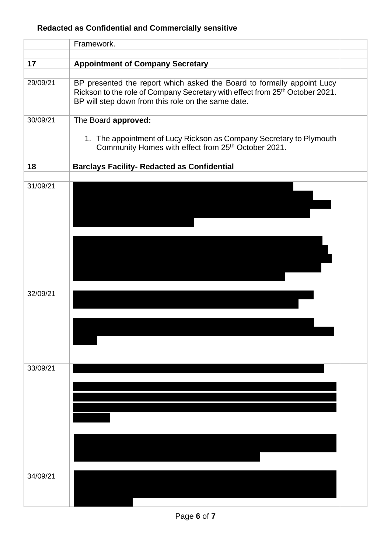|                      | Framework.                                                                                                                                                                                                               |  |
|----------------------|--------------------------------------------------------------------------------------------------------------------------------------------------------------------------------------------------------------------------|--|
| 17                   | <b>Appointment of Company Secretary</b>                                                                                                                                                                                  |  |
| 29/09/21             | BP presented the report which asked the Board to formally appoint Lucy<br>Rickson to the role of Company Secretary with effect from 25 <sup>th</sup> October 2021.<br>BP will step down from this role on the same date. |  |
| 30/09/21             | The Board approved:<br>1. The appointment of Lucy Rickson as Company Secretary to Plymouth<br>Community Homes with effect from 25 <sup>th</sup> October 2021.                                                            |  |
| 18                   | <b>Barclays Facility- Redacted as Confidential</b>                                                                                                                                                                       |  |
| 31/09/21             |                                                                                                                                                                                                                          |  |
| 32/09/21             |                                                                                                                                                                                                                          |  |
| 33/09/21<br>34/09/21 |                                                                                                                                                                                                                          |  |
|                      |                                                                                                                                                                                                                          |  |